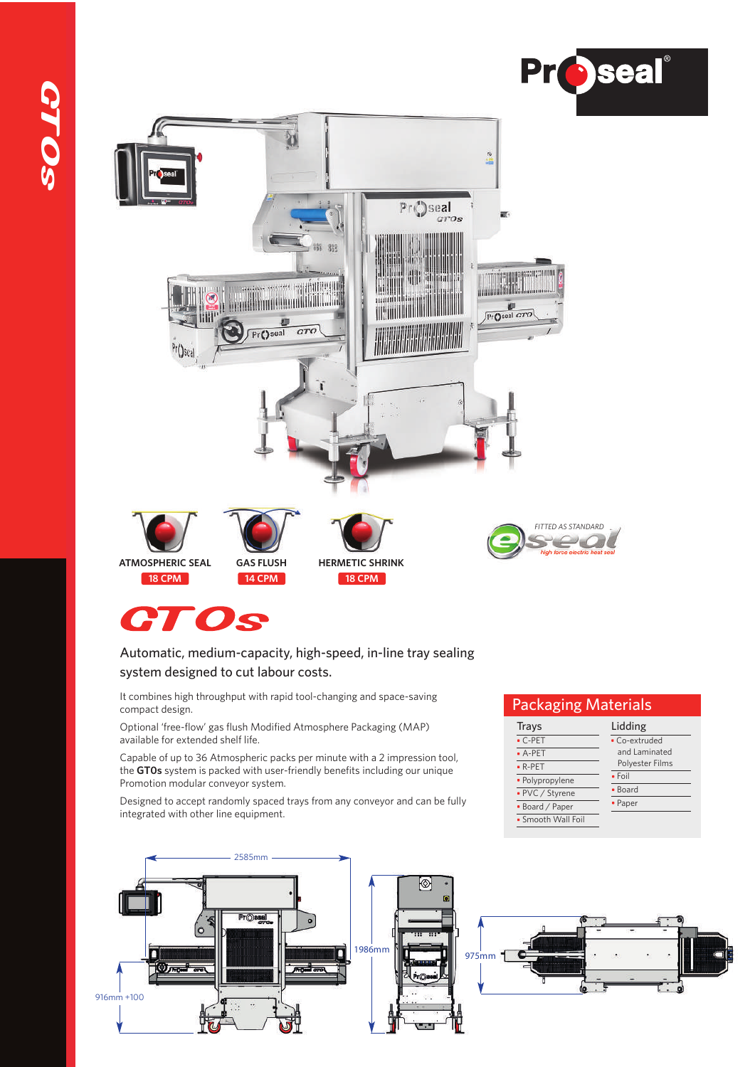



#### Automatic, medium-capacity, high-speed, in-line tray sealing system designed to cut labour costs.

It combines high throughput with rapid tool-changing and space-saving compact design.

Optional 'free-flow' gas flush Modified Atmosphere Packaging (MAP) available for extended shelf life.

Capable of up to 36 Atmospheric packs per minute with a 2 impression tool, the **GT0s** system is packed with user-friendly benefits including our unique Promotion modular conveyor system.

Designed to accept randomly spaced trays from any conveyor and can be fully integrated with other line equipment.

## 2585mm  $\circ$ PrO 1986mm **1986mm** Г ٠  $\omega$ <sub>r</sub>  $\sim$ 916mm +100

Lidding Co-extruded and Laminated Polyester Films

Packaging Materials

Trays C-PET A-PET R-PET • Polypropylene • PVC / Styrene Board / Paper Smooth Wall Foil

• Foil **Board** • Paper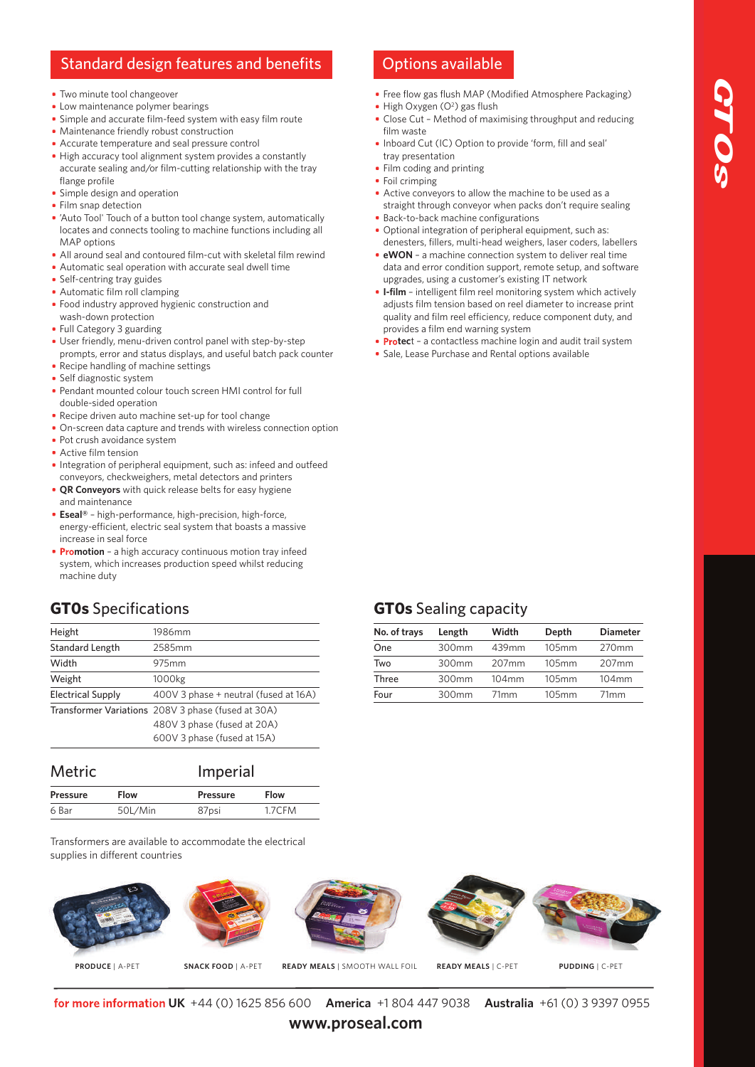### Standard design features and benefits **Options** available

- Two minute tool changeover
- Low maintenance polymer bearings
- Simple and accurate film-feed system with easy film route
- Maintenance friendly robust construction
- Accurate temperature and seal pressure control
- High accuracy tool alignment system provides a constantly accurate sealing and/or film-cutting relationship with the tray flange profile
- **Simple design and operation**
- Film snap detection
- 'Auto Tool' Touch of a button tool change system, automatically locates and connects tooling to machine functions including all MAP options
- All around seal and contoured film-cut with skeletal film rewind
- Automatic seal operation with accurate seal dwell time
- Self-centring tray guides
- Automatic film roll clamping
- **Food industry approved hygienic construction and** wash-down protection
- Full Category 3 guarding
- User friendly, menu-driven control panel with step-by-step prompts, error and status displays, and useful batch pack counter
- Recipe handling of machine settings
- Self diagnostic system
- Pendant mounted colour touch screen HMI control for full double-sided operation
- Recipe driven auto machine set-up for tool change
- On-screen data capture and trends with wireless connection option
- Pot crush avoidance system
- Active film tension
- **Integration of peripheral equipment, such as: infeed and outfeed** conveyors, checkweighers, metal detectors and printers
- **QR Conveyors** with quick release belts for easy hygiene and maintenance
- **Eseal®** high-performance, high-precision, high-force, energy-efficient, electric seal system that boasts a massive increase in seal force
- **Promotion** a high accuracy continuous motion tray infeed system, which increases production speed whilst reducing machine duty

#### **GT0s** Specifications

| Height                   | 1986mm                                             |
|--------------------------|----------------------------------------------------|
| <b>Standard Length</b>   | 2585mm                                             |
| Width                    | 975mm                                              |
| Weight                   | 1000kg                                             |
| <b>Electrical Supply</b> | 400V 3 phase + neutral (fused at 16A)              |
|                          | Transformer Variations 208V 3 phase (fused at 30A) |
|                          | 480V 3 phase (fused at 20A)                        |
|                          | 600V 3 phase (fused at 15A)                        |
|                          |                                                    |

| <b>Metric</b>   |             | Imperial        |             |
|-----------------|-------------|-----------------|-------------|
| <b>Pressure</b> | <b>Flow</b> | <b>Pressure</b> | <b>Flow</b> |
| 6 Bar           | 50L/Min     | 87psi           | 1.7CFM      |

Transformers are available to accommodate the electrical supplies in different countries

# **PRODUCE** | A-PET **SNACK FOOD** | A-PET **READY MEALS** | SMOOTH WALL FOIL **READY MEALS** | C-PET **PUDDING** | C-PET

**UK** +44 (0) 1625 856 600 **America** +1 804 447 9038 **Australia** +61 (0) 3 9397 0955

**www.proseal.com**

- Free flow gas flush MAP (Modified Atmosphere Packaging) High Oxygen (O<sup>2</sup>) gas flush
- Close Cut Method of maximising throughput and reducing film waste
- Inboard Cut (IC) Option to provide 'form, fill and seal' tray presentation
- Film coding and printing
- Foil crimping
- Active conveyors to allow the machine to be used as a straight through conveyor when packs don't require sealing **Back-to-back machine configurations**
- Optional integration of peripheral equipment, such as: denesters, fillers, multi-head weighers, laser coders, labellers
- **eWON** a machine connection system to deliver real time data and error condition support, remote setup, and software upgrades, using a customer's existing IT network
- **I-film** intelligent film reel monitoring system which actively adjusts film tension based on reel diameter to increase print quality and film reel efficiency, reduce component duty, and provides a film end warning system
- **Protec**t a contactless machine login and audit trail system
- Sale, Lease Purchase and Rental options available

### **GT0s** Sealing capacity

| No. of trays | Length | Width             | Depth | <b>Diameter</b>  |
|--------------|--------|-------------------|-------|------------------|
| One          | 300mm  | 439mm             | 105mm | 270mm            |
| Two          | 300mm  | 207 <sub>mm</sub> | 105mm | 207mm            |
| Three        | 300mm  | $104$ mm          | 105mm | $104$ mm         |
| Four         | 300mm  | 71 <sub>mm</sub>  | 105mm | 71 <sub>mm</sub> |
|              |        |                   |       |                  |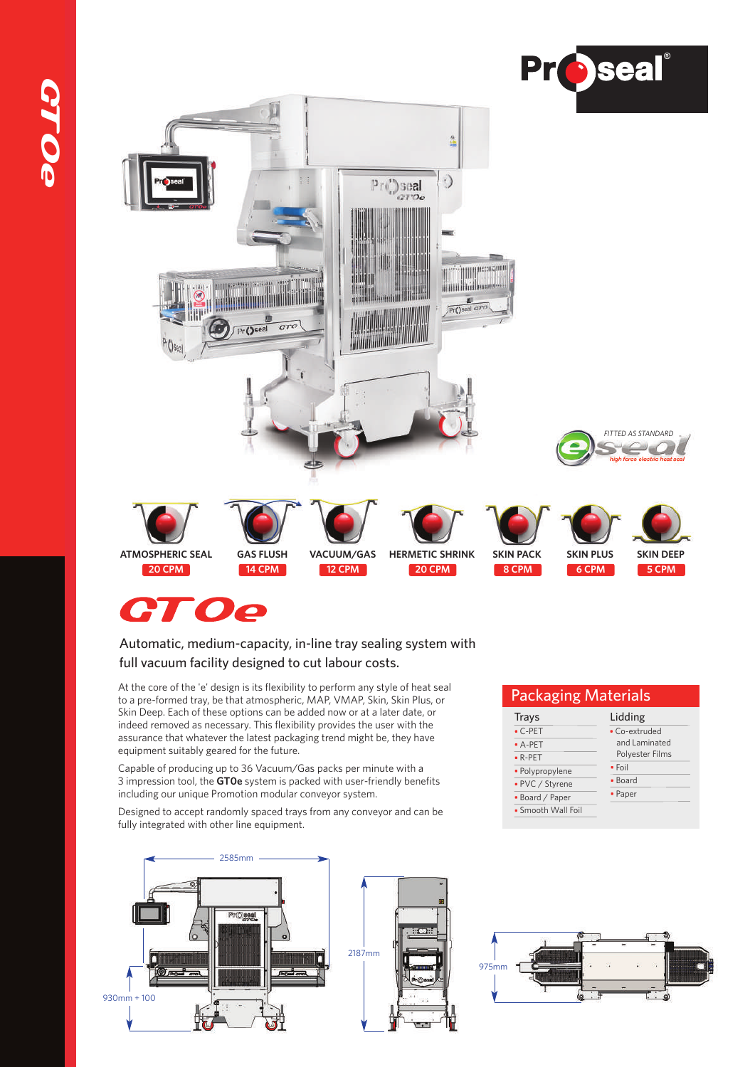

# **CTOe**

#### Automatic, medium-capacity, in-line tray sealing system with full vacuum facility designed to cut labour costs.

At the core of the 'e' design is its flexibility to perform any style of heat seal to a pre-formed tray, be that atmospheric, MAP, VMAP, Skin, Skin Plus, or Skin Deep. Each of these options can be added now or at a later date, or indeed removed as necessary. This flexibility provides the user with the assurance that whatever the latest packaging trend might be, they have equipment suitably geared for the future.

Capable of producing up to 36 Vacuum/Gas packs per minute with a 3 impression tool, the **GT0e** system is packed with user-friendly benefits including our unique Promotion modular conveyor system.

Designed to accept randomly spaced trays from any conveyor and can be fully integrated with other line equipment.



#### Packaging Materials

| Trays              | Lidding         |
|--------------------|-----------------|
| $\bullet$ C-PET    | • Co-extruded   |
| $A-PET$            | and Laminated   |
| $\bullet$ R-PET    | Polyester Films |
| · Polypropylene    | $\cdot$ Foil    |
| • PVC / Styrene    | • Board         |
| · Board / Paper    | • Paper         |
| • Smooth Wall Foil |                 |